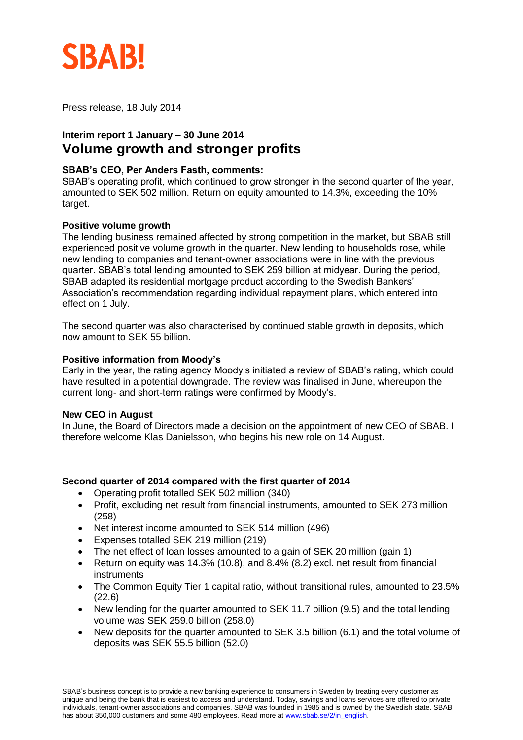

Press release, 18 July 2014

# **Interim report 1 January – 30 June 2014 Volume growth and stronger profits**

## **SBAB's CEO, Per Anders Fasth, comments:**

SBAB's operating profit, which continued to grow stronger in the second quarter of the year, amounted to SEK 502 million. Return on equity amounted to 14.3%, exceeding the 10% target.

### **Positive volume growth**

The lending business remained affected by strong competition in the market, but SBAB still experienced positive volume growth in the quarter. New lending to households rose, while new lending to companies and tenant-owner associations were in line with the previous quarter. SBAB's total lending amounted to SEK 259 billion at midyear. During the period, SBAB adapted its residential mortgage product according to the Swedish Bankers' Association's recommendation regarding individual repayment plans, which entered into effect on 1 July.

The second quarter was also characterised by continued stable growth in deposits, which now amount to SEK 55 billion.

#### **Positive information from Moody's**

Early in the year, the rating agency Moody's initiated a review of SBAB's rating, which could have resulted in a potential downgrade. The review was finalised in June, whereupon the current long- and short-term ratings were confirmed by Moody's.

### **New CEO in August**

In June, the Board of Directors made a decision on the appointment of new CEO of SBAB. I therefore welcome Klas Danielsson, who begins his new role on 14 August.

### **Second quarter of 2014 compared with the first quarter of 2014**

- Operating profit totalled SEK 502 million (340)
- Profit, excluding net result from financial instruments, amounted to SEK 273 million (258)
- Net interest income amounted to SEK 514 million (496)
- Expenses totalled SEK 219 million (219)
- The net effect of loan losses amounted to a gain of SEK 20 million (gain 1)
- Return on equity was 14.3% (10.8), and 8.4% (8.2) excl. net result from financial instruments
- The Common Equity Tier 1 capital ratio, without transitional rules, amounted to 23.5% (22.6)
- New lending for the quarter amounted to SEK 11.7 billion (9.5) and the total lending volume was SEK 259.0 billion (258.0)
- New deposits for the quarter amounted to SEK 3.5 billion (6.1) and the total volume of deposits was SEK 55.5 billion (52.0)